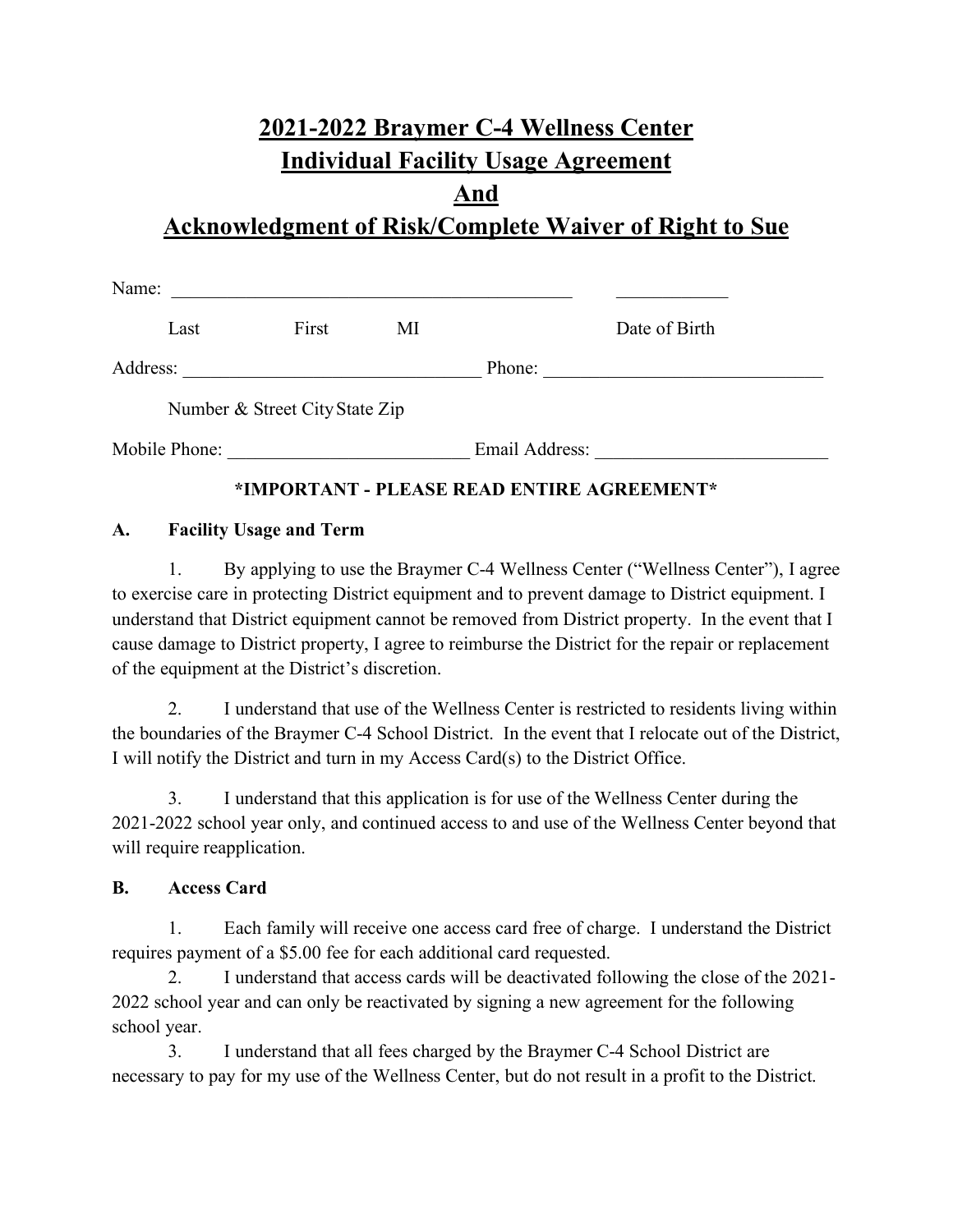# **2021-2022 Braymer C-4 Wellness Center Individual Facility Usage Agreement**

### **And**

## **Acknowledgment of Risk/Complete Waiver of Right to Sue**

| Name:         |                                |    |                |               |
|---------------|--------------------------------|----|----------------|---------------|
| Last          | First                          | MI |                | Date of Birth |
| Address:      |                                |    | Phone:         |               |
|               | Number & Street City State Zip |    |                |               |
| Mobile Phone: |                                |    | Email Address: |               |

#### **\*IMPORTANT - PLEASE READ ENTIRE AGREEMENT\***

#### **A. Facility Usage and Term**

1. By applying to use the Braymer C-4 Wellness Center ("Wellness Center"), I agree to exercise care in protecting District equipment and to prevent damage to District equipment. I understand that District equipment cannot be removed from District property. In the event that I cause damage to District property, I agree to reimburse the District for the repair or replacement of the equipment at the District's discretion.

2. I understand that use of the Wellness Center is restricted to residents living within the boundaries of the Braymer C-4 School District. In the event that I relocate out of the District, I will notify the District and turn in my Access Card(s) to the District Office.

3. I understand that this application is for use of the Wellness Center during the 2021-2022 school year only, and continued access to and use of the Wellness Center beyond that will require reapplication.

#### **B. Access Card**

1. Each family will receive one access card free of charge. I understand the District requires payment of a \$5.00 fee for each additional card requested.

2. I understand that access cards will be deactivated following the close of the 2021- 2022 school year and can only be reactivated by signing a new agreement for the following school year.

3. I understand that all fees charged by the Braymer C-4 School District are necessary to pay for my use of the Wellness Center, but do not result in a profit to the District.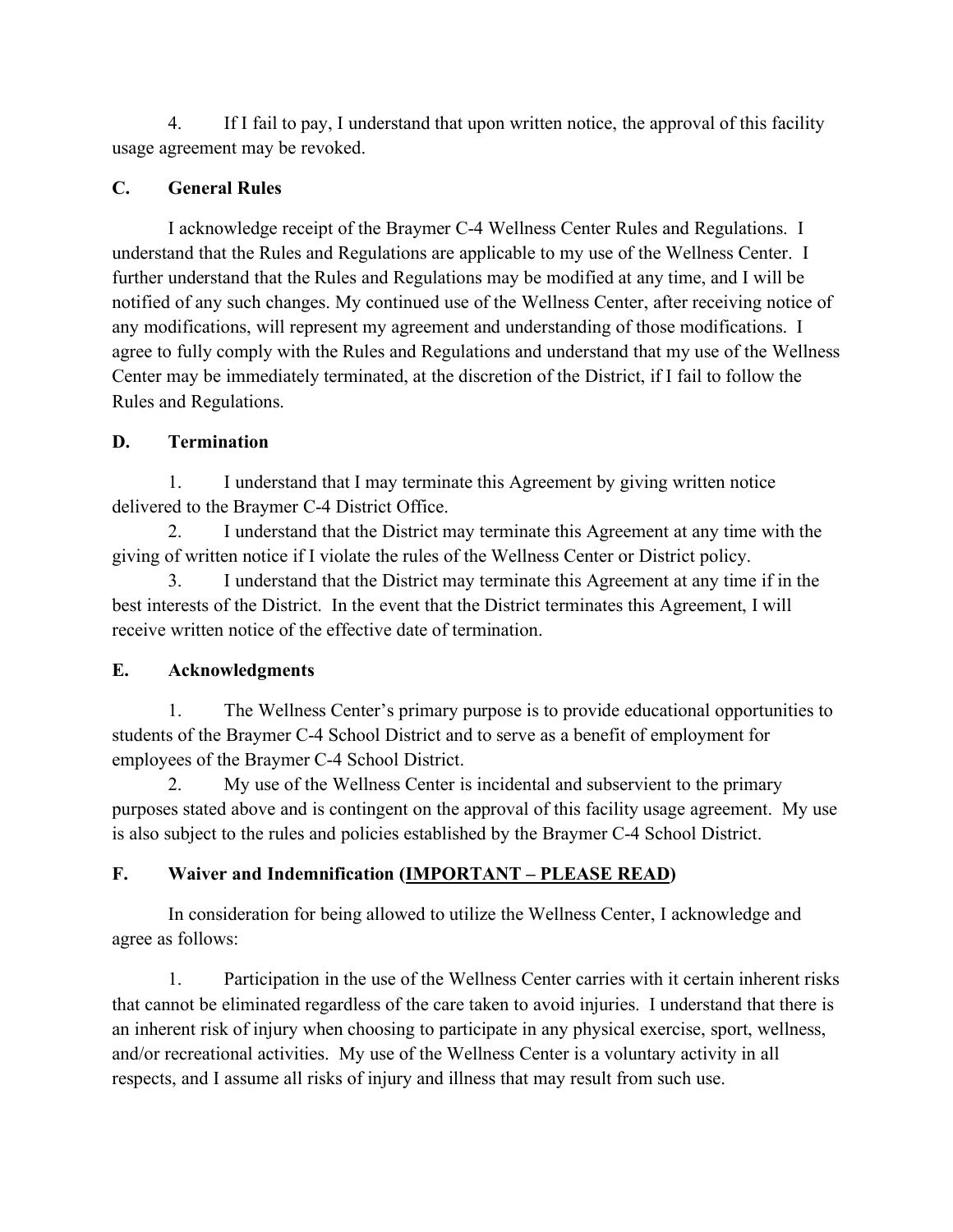4. If I fail to pay, I understand that upon written notice, the approval of this facility usage agreement may be revoked.

#### **C. General Rules**

I acknowledge receipt of the Braymer C-4 Wellness Center Rules and Regulations. I understand that the Rules and Regulations are applicable to my use of the Wellness Center. I further understand that the Rules and Regulations may be modified at any time, and I will be notified of any such changes. My continued use of the Wellness Center, after receiving notice of any modifications, will represent my agreement and understanding of those modifications. I agree to fully comply with the Rules and Regulations and understand that my use of the Wellness Center may be immediately terminated, at the discretion of the District, if I fail to follow the Rules and Regulations.

#### **D. Termination**

1. I understand that I may terminate this Agreement by giving written notice delivered to the Braymer C-4 District Office.

2. I understand that the District may terminate this Agreement at any time with the giving of written notice if I violate the rules of the Wellness Center or District policy.

3. I understand that the District may terminate this Agreement at any time if in the best interests of the District. In the event that the District terminates this Agreement, I will receive written notice of the effective date of termination.

#### **E. Acknowledgments**

1. The Wellness Center's primary purpose is to provide educational opportunities to students of the Braymer C-4 School District and to serve as a benefit of employment for employees of the Braymer C-4 School District.

2. My use of the Wellness Center is incidental and subservient to the primary purposes stated above and is contingent on the approval of this facility usage agreement. My use is also subject to the rules and policies established by the Braymer C-4 School District.

#### **F. Waiver and Indemnification (IMPORTANT – PLEASE READ)**

In consideration for being allowed to utilize the Wellness Center, I acknowledge and agree as follows:

1. Participation in the use of the Wellness Center carries with it certain inherent risks that cannot be eliminated regardless of the care taken to avoid injuries. I understand that there is an inherent risk of injury when choosing to participate in any physical exercise, sport, wellness, and/or recreational activities. My use of the Wellness Center is a voluntary activity in all respects, and I assume all risks of injury and illness that may result from such use.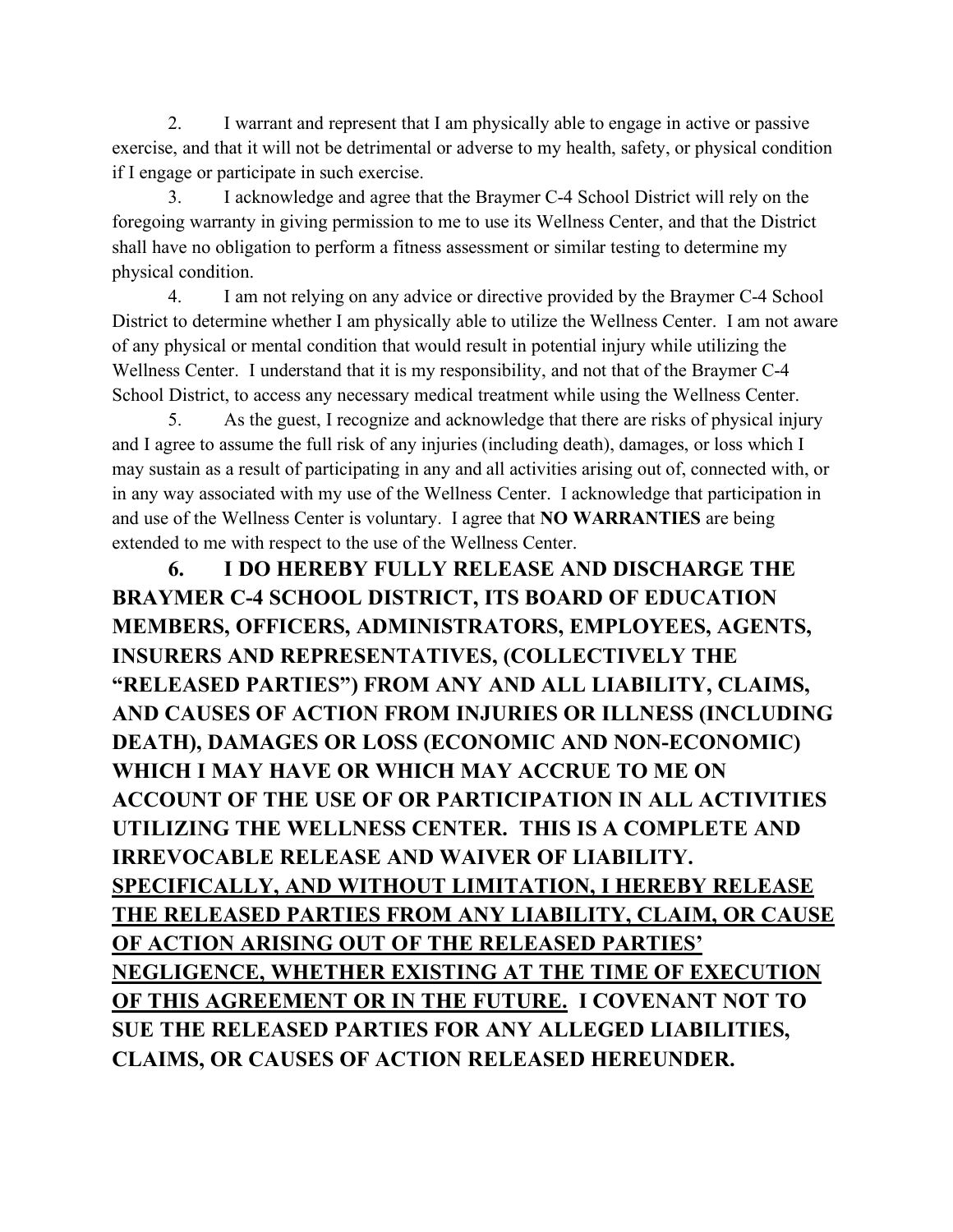2. I warrant and represent that I am physically able to engage in active or passive exercise, and that it will not be detrimental or adverse to my health, safety, or physical condition if I engage or participate in such exercise.

3. I acknowledge and agree that the Braymer C-4 School District will rely on the foregoing warranty in giving permission to me to use its Wellness Center, and that the District shall have no obligation to perform a fitness assessment or similar testing to determine my physical condition.

4. I am not relying on any advice or directive provided by the Braymer C-4 School District to determine whether I am physically able to utilize the Wellness Center. I am not aware of any physical or mental condition that would result in potential injury while utilizing the Wellness Center. I understand that it is my responsibility, and not that of the Braymer C-4 School District, to access any necessary medical treatment while using the Wellness Center.

5. As the guest, I recognize and acknowledge that there are risks of physical injury and I agree to assume the full risk of any injuries (including death), damages, or loss which I may sustain as a result of participating in any and all activities arising out of, connected with, or in any way associated with my use of the Wellness Center. I acknowledge that participation in and use of the Wellness Center is voluntary. I agree that **NO WARRANTIES** are being extended to me with respect to the use of the Wellness Center.

**6. I DO HEREBY FULLY RELEASE AND DISCHARGE THE BRAYMER C-4 SCHOOL DISTRICT, ITS BOARD OF EDUCATION MEMBERS, OFFICERS, ADMINISTRATORS, EMPLOYEES, AGENTS, INSURERS AND REPRESENTATIVES, (COLLECTIVELY THE "RELEASED PARTIES") FROM ANY AND ALL LIABILITY, CLAIMS, AND CAUSES OF ACTION FROM INJURIES OR ILLNESS (INCLUDING DEATH), DAMAGES OR LOSS (ECONOMIC AND NON-ECONOMIC) WHICH I MAY HAVE OR WHICH MAY ACCRUE TO ME ON ACCOUNT OF THE USE OF OR PARTICIPATION IN ALL ACTIVITIES UTILIZING THE WELLNESS CENTER. THIS IS A COMPLETE AND IRREVOCABLE RELEASE AND WAIVER OF LIABILITY. SPECIFICALLY, AND WITHOUT LIMITATION, I HEREBY RELEASE THE RELEASED PARTIES FROM ANY LIABILITY, CLAIM, OR CAUSE OF ACTION ARISING OUT OF THE RELEASED PARTIES' NEGLIGENCE, WHETHER EXISTING AT THE TIME OF EXECUTION OF THIS AGREEMENT OR IN THE FUTURE. I COVENANT NOT TO SUE THE RELEASED PARTIES FOR ANY ALLEGED LIABILITIES, CLAIMS, OR CAUSES OF ACTION RELEASED HEREUNDER.**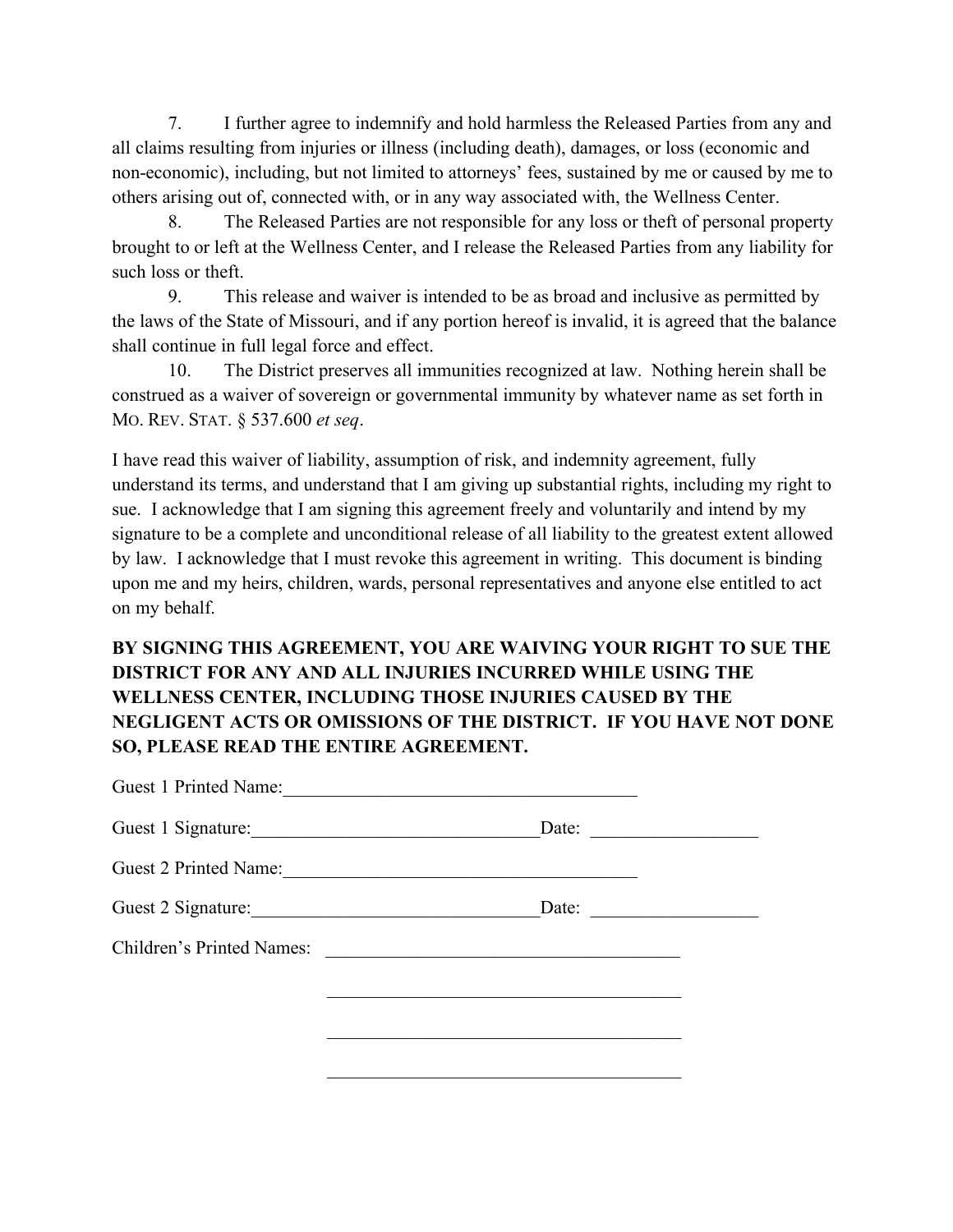7. I further agree to indemnify and hold harmless the Released Parties from any and all claims resulting from injuries or illness (including death), damages, or loss (economic and non-economic), including, but not limited to attorneys' fees, sustained by me or caused by me to others arising out of, connected with, or in any way associated with, the Wellness Center.

8. The Released Parties are not responsible for any loss or theft of personal property brought to or left at the Wellness Center, and I release the Released Parties from any liability for such loss or theft.

9. This release and waiver is intended to be as broad and inclusive as permitted by the laws of the State of Missouri, and if any portion hereof is invalid, it is agreed that the balance shall continue in full legal force and effect.

10. The District preserves all immunities recognized at law. Nothing herein shall be construed as a waiver of sovereign or governmental immunity by whatever name as set forth in MO. REV. STAT. § 537.600 *et seq*.

I have read this waiver of liability, assumption of risk, and indemnity agreement, fully understand its terms, and understand that I am giving up substantial rights, including my right to sue. I acknowledge that I am signing this agreement freely and voluntarily and intend by my signature to be a complete and unconditional release of all liability to the greatest extent allowed by law. I acknowledge that I must revoke this agreement in writing. This document is binding upon me and my heirs, children, wards, personal representatives and anyone else entitled to act on my behalf.

#### **BY SIGNING THIS AGREEMENT, YOU ARE WAIVING YOUR RIGHT TO SUE THE DISTRICT FOR ANY AND ALL INJURIES INCURRED WHILE USING THE WELLNESS CENTER, INCLUDING THOSE INJURIES CAUSED BY THE NEGLIGENT ACTS OR OMISSIONS OF THE DISTRICT. IF YOU HAVE NOT DONE SO, PLEASE READ THE ENTIRE AGREEMENT.**

| Guest 1 Printed Name:            |                                                                                                                                                                                                                                      |  |
|----------------------------------|--------------------------------------------------------------------------------------------------------------------------------------------------------------------------------------------------------------------------------------|--|
| Guest 1 Signature:               | Date:                                                                                                                                                                                                                                |  |
| Guest 2 Printed Name:            | <u> 1980 - Andrea Station, amerikan bestean ing disebut di parti di parti di parti di parti di parti di parti di</u>                                                                                                                 |  |
| Guest 2 Signature:               | Date:                                                                                                                                                                                                                                |  |
| <b>Children's Printed Names:</b> | <u> 1989 - Johann John Stein, markin fan it fjort fan it fjort fan it fjort fan it fjort fan it fjort fan it fjort fan it fjort fan it fjort fan it fjort fan it fjort fan it fjort fan it fjort fan it fjort fan it fjort fan i</u> |  |
|                                  |                                                                                                                                                                                                                                      |  |
|                                  |                                                                                                                                                                                                                                      |  |
|                                  |                                                                                                                                                                                                                                      |  |